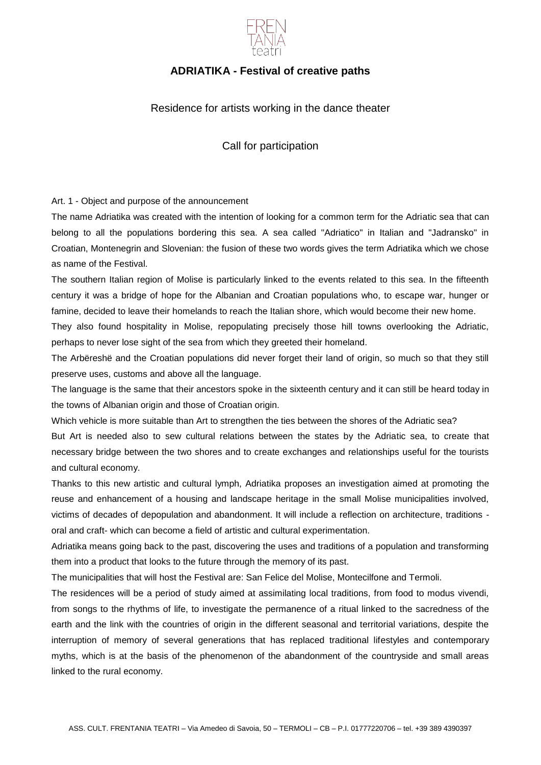

# **ADRIATIKA - Festival of creative paths**

## Residence for artists working in the dance theater

Call for participation

Art. 1 - Object and purpose of the announcement

The name Adriatika was created with the intention of looking for a common term for the Adriatic sea that can belong to all the populations bordering this sea. A sea called "Adriatico" in Italian and "Jadransko" in Croatian, Montenegrin and Slovenian: the fusion of these two words gives the term Adriatika which we chose as name of the Festival.

The southern Italian region of Molise is particularly linked to the events related to this sea. In the fifteenth century it was a bridge of hope for the Albanian and Croatian populations who, to escape war, hunger or famine, decided to leave their homelands to reach the Italian shore, which would become their new home.

They also found hospitality in Molise, repopulating precisely those hill towns overlooking the Adriatic, perhaps to never lose sight of the sea from which they greeted their homeland.

The Arbëreshë and the Croatian populations did never forget their land of origin, so much so that they still preserve uses, customs and above all the language.

The language is the same that their ancestors spoke in the sixteenth century and it can still be heard today in the towns of Albanian origin and those of Croatian origin.

Which vehicle is more suitable than Art to strengthen the ties between the shores of the Adriatic sea?

But Art is needed also to sew cultural relations between the states by the Adriatic sea, to create that necessary bridge between the two shores and to create exchanges and relationships useful for the tourists and cultural economy.

Thanks to this new artistic and cultural lymph, Adriatika proposes an investigation aimed at promoting the reuse and enhancement of a housing and landscape heritage in the small Molise municipalities involved, victims of decades of depopulation and abandonment. It will include a reflection on architecture, traditions oral and craft- which can become a field of artistic and cultural experimentation.

Adriatika means going back to the past, discovering the uses and traditions of a population and transforming them into a product that looks to the future through the memory of its past.

The municipalities that will host the Festival are: San Felice del Molise, Montecilfone and Termoli.

The residences will be a period of study aimed at assimilating local traditions, from food to modus vivendi, from songs to the rhythms of life, to investigate the permanence of a ritual linked to the sacredness of the earth and the link with the countries of origin in the different seasonal and territorial variations, despite the interruption of memory of several generations that has replaced traditional lifestyles and contemporary myths, which is at the basis of the phenomenon of the abandonment of the countryside and small areas linked to the rural economy.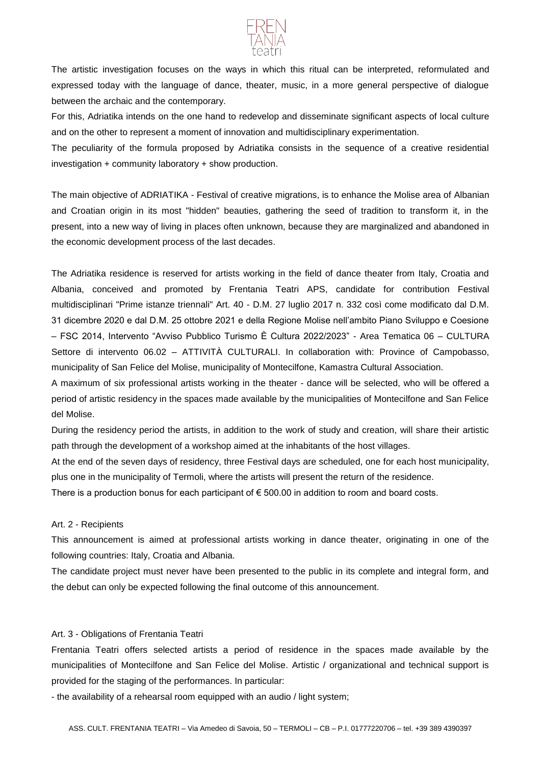

The artistic investigation focuses on the ways in which this ritual can be interpreted, reformulated and expressed today with the language of dance, theater, music, in a more general perspective of dialogue between the archaic and the contemporary.

For this, Adriatika intends on the one hand to redevelop and disseminate significant aspects of local culture and on the other to represent a moment of innovation and multidisciplinary experimentation.

The peculiarity of the formula proposed by Adriatika consists in the sequence of a creative residential investigation + community laboratory + show production.

The main objective of ADRIATIKA - Festival of creative migrations, is to enhance the Molise area of Albanian and Croatian origin in its most "hidden" beauties, gathering the seed of tradition to transform it, in the present, into a new way of living in places often unknown, because they are marginalized and abandoned in the economic development process of the last decades.

The Adriatika residence is reserved for artists working in the field of dance theater from Italy, Croatia and Albania, conceived and promoted by Frentania Teatri APS, candidate for contribution Festival multidisciplinari "Prime istanze triennali" Art. 40 - D.M. 27 luglio 2017 n. 332 così come modificato dal D.M. 31 dicembre 2020 e dal D.M. 25 ottobre 2021 e della Regione Molise nell'ambito Piano Sviluppo e Coesione – FSC 2014, Intervento "Avviso Pubblico Turismo È Cultura 2022/2023" - Area Tematica 06 – CULTURA Settore di intervento 06.02 – ATTIVITÀ CULTURALI. In collaboration with: Province of Campobasso, municipality of San Felice del Molise, municipality of Montecilfone, Kamastra Cultural Association.

A maximum of six professional artists working in the theater - dance will be selected, who will be offered a period of artistic residency in the spaces made available by the municipalities of Montecilfone and San Felice del Molise.

During the residency period the artists, in addition to the work of study and creation, will share their artistic path through the development of a workshop aimed at the inhabitants of the host villages.

At the end of the seven days of residency, three Festival days are scheduled, one for each host municipality, plus one in the municipality of Termoli, where the artists will present the return of the residence.

There is a production bonus for each participant of  $\epsilon$  500.00 in addition to room and board costs.

## Art. 2 - Recipients

This announcement is aimed at professional artists working in dance theater, originating in one of the following countries: Italy, Croatia and Albania.

The candidate project must never have been presented to the public in its complete and integral form, and the debut can only be expected following the final outcome of this announcement.

## Art. 3 - Obligations of Frentania Teatri

Frentania Teatri offers selected artists a period of residence in the spaces made available by the municipalities of Montecilfone and San Felice del Molise. Artistic / organizational and technical support is provided for the staging of the performances. In particular:

- the availability of a rehearsal room equipped with an audio / light system;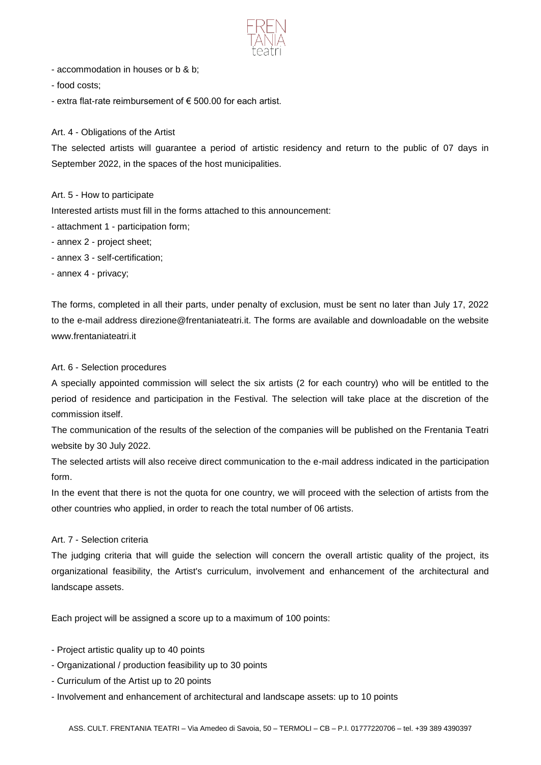

- accommodation in houses or b & b;
- food costs;
- extra flat-rate reimbursement of € 500.00 for each artist.

#### Art. 4 - Obligations of the Artist

The selected artists will guarantee a period of artistic residency and return to the public of 07 days in September 2022, in the spaces of the host municipalities.

### Art. 5 - How to participate

Interested artists must fill in the forms attached to this announcement:

- attachment 1 participation form;
- annex 2 project sheet;
- annex 3 self-certification;
- annex 4 privacy;

The forms, completed in all their parts, under penalty of exclusion, must be sent no later than July 17, 2022 to the e-mail address direzione@frentaniateatri.it. The forms are available and downloadable on the website www.frentaniateatri.it

#### Art. 6 - Selection procedures

A specially appointed commission will select the six artists (2 for each country) who will be entitled to the period of residence and participation in the Festival. The selection will take place at the discretion of the commission itself.

The communication of the results of the selection of the companies will be published on the Frentania Teatri website by 30 July 2022.

The selected artists will also receive direct communication to the e-mail address indicated in the participation form.

In the event that there is not the quota for one country, we will proceed with the selection of artists from the other countries who applied, in order to reach the total number of 06 artists.

## Art. 7 - Selection criteria

The judging criteria that will guide the selection will concern the overall artistic quality of the project, its organizational feasibility, the Artist's curriculum, involvement and enhancement of the architectural and landscape assets.

Each project will be assigned a score up to a maximum of 100 points:

- Project artistic quality up to 40 points
- Organizational / production feasibility up to 30 points
- Curriculum of the Artist up to 20 points
- Involvement and enhancement of architectural and landscape assets: up to 10 points